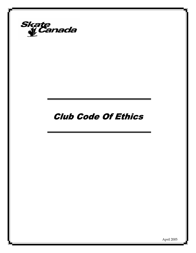

# Club Code Of Ethics

April 2005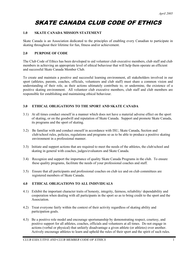## SKATE CANADA CLUB CODE OF ETHICS

#### **1.0 SKATE CANADA MISSION STATEMENT**

Skate Canada is an Association dedicated to the principles of enabling every Canadian to participate in skating throughout their lifetime for fun, fitness and/or achievement.

#### **2.0 PURPOSE OF CODE**

The Club Code of Ethics has been developed to aid volunteer club executive members, club staff and club members in achieving an appropriate level of ethical behaviour that will help them operate an efficient and successful Skate Canada Member Club.

To create and maintain a positive and successful learning environment, all stakeholders involved in our sport (athletes, parents, coaches, officials, volunteers and club staff) must share a common vision and understanding of their role, as their actions ultimately contribute to, or undermine, the existence of a positive skating environment. All volunteer club executive members, club staff and club members are responsible for establishing and maintaining ethical behaviour.

#### **3.0 ETHICAL OBLIGATIONS TO THE SPORT AND SKATE CANADA**

- 3.1) At all times conduct oneself in a manner which does not have a material adverse effect on the sport of skating, or on the goodwill and reputation of Skate Canada. Support and promote Skate Canada, its programs and the sport of skating.
- 3.2) Be familiar with and conduct oneself in accordance with ISU, Skate Canada, Section and club/school rules, policies, regulations and programs so as to be able to produce a positive skating environment in a professional manner.
- 3.3) Initiate and support actions that are required to meet the needs of the athletes, the club/school and skating in general with coaches, judges/evaluators and Skate Canada.
- 3.4) Recognize and support the importance of quality Skate Canada Programs in the club. To ensure these quality programs, facilitate the needs of your professional coaches and staff.
- 3.5) Ensure that all participants and professional coaches on club ice and on club committees are registered members of Skate Canada.

#### **4.0 ETHICAL OBLIGATIONS TO ALL INDIVIDUALS**

- 4.1) Exhibit the important character traits of honesty, integrity, fairness, reliability/ dependability and cooperation when dealing with all participants in the sport so as to bring credit to the sport and the Association.
- 4.2) Treat everyone fairly within the context of their activity regardless of skating ability and participation goals.
- 4.3) Be a positive role model and encourage sportsmanship by demonstrating respect, courtesy, and positive support for all athletes, coaches, officials and volunteers at all times. Do not engage in actions (verbal or physical) that unfairly disadvantage a given athlete (or athletes) over another. Actively encourage athletes to learn and uphold the rules of their sport and the spirit of such rules.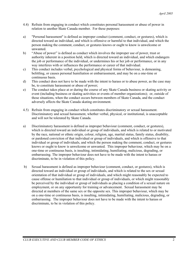- 4.4) Refrain from engaging in conduct which constitutes personal harassment or abuse of power in relation to another Skate Canada member. For these purposes:
- a) "Personal harassment" is defined as improper conduct (comment, conduct, or gestures), which is directed toward an individual, and which is offensive or harmful to that individual, and which the person making the comment, conduct, or gestures knows or ought to know is unwelcome or unwanted.
- b) "Abuse of power" is defined as conduct which involves the improper use of power, trust or authority inherent in a position held, which is directed toward an individual, and which endangers the job or performance of the individual, or undermines his or her job or performance, or in any way interferes with or influences the performance or career of that individual.
- c) This conduct includes verbal, psychological and physical forms of behaviour, is demeaning, belittling, or causes personal humiliation or embarrassment, and may be on a one-time or continuous basis.
- d) This conduct does not have to be made with the intent to harass or to abuse power, as the case may be, to constitute harassment or abuse of power;
- e) The conduct takes place at or during the course of any Skate Canada business or skating activity or event (including business or skating activities or events of member organizations); or, outside of those situations, when the conduct occurs between members of Skate Canada, and the conduct adversely affects the Skate Canada skating environment.
- 4.5) Refrain from engaging in conduct which constitutes discriminatory or sexual harassment. Discriminatory and sexual harassment, whether verbal, physical, or institutional, is unacceptable and will not be tolerated by Skate Canada.
- a) Discriminatory harassment is defined as improper behaviour (comment, conduct, or gestures), which is directed toward an individual or group of individuals, and which is related to or motivated by the race, national or ethnic origin, colour, religion, age, marital status, family status, disability, or pardoned conviction of that individual or group of individuals, and which is offensive to that individual or group of individuals, and which the person making the comment, conduct, or gestures knows or ought to know is unwelcome or unwanted. This improper behaviour, which may be on a one-time or continuous basis, is insulting, intimidating, humiliating, malicious, degrading, or embarrassing. The improper behaviour does not have to be made with the intent to harass or discriminate, to be in violation of this policy.
- b) Sexual harassment is defined as improper behaviour (comment, conduct, or gestures), which is directed toward an individual or group of individuals, and which is related to the sex or sexual orientation of that individual or group of individuals, and which might reasonably be expected to cause offense or humiliation to that individual or group of individuals, or which might reasonably be perceived by the individual or group of individuals as placing a condition of a sexual nature on employment, or on any opportunity for training or advancement. Sexual harassment may be directed at members of the same sex or the opposite sex. This improper behaviour, which may be on a one-time or continuous basis, is insulting, intimidating, humiliating, malicious, degrading, or embarrassing. The improper behaviour does not have to be made with the intent to harass or discriminate, to be in violation of this policy.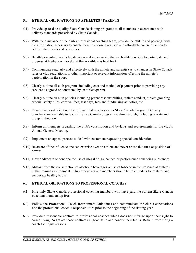#### **5.0 ETHICAL OBLIGATIONS TO ATHLETES / PARENTS**

- 5.1) Provide up-to-date quality Skate Canada skating programs to all members in accordance with delivery standards prescribed by Skate Canada.
- 5.2) With the assistance of the club's professional coaching team, provide the athlete and parent(s) with the information necessary to enable them to choose a realistic and affordable course of action to achieve their goals and objectives.
- 5.3) Be athlete-centred in all club decision making ensuring that each athlete is able to participate and progress at his/her own level and that no athlete is held back.
- 5.4) Communicate regularly and effectively with the athlete and parent(s) as to changes in Skate Canada rules or club regulations, or other important or relevant information affecting the athlete's participation in the sport.
- 5.5) Clearly outline all club programs including cost and method of payment prior to providing any services as agreed or contracted by an athlete/parent.
- 5.6) Clearly outline all club policies including parent responsibilities, athlete conduct, athlete grouping criteria, safety rules, carnival fees, test days, fees and fundraising activities, etc.
- 5.7) Ensure that a sufficient number of qualified coaches as per Skate Canada Program Delivery Standards are available to teach all Skate Canada programs within the club, including private and group instruction.
- 5.8) Inform all members regarding the club's constitution and by-laws and requirements for the club's Annual General Meeting.
- 5.9) Implement an appeal process to deal with customers requesting special consideration.
- 5.10) Be aware of the influence one can exercise over an athlete and never abuse this trust or position of power.
- 5.11) Never advocate or condone the use of illegal drugs, banned or performance enhancing substances.
- 5.12) Abstain from the consumption of alcoholic beverages or use of tobacco in the presence of athletes in the training environment. Club executives and members should be role models for athletes and encourage healthy habits.

#### **6.0 ETHICAL OBLIGATIONS TO PROFESSIONAL COACHES**

- 6.1 Hire only Skate Canada professional coaching members who have paid the current Skate Canada coaching membership fees.
- 6.2) Follow the Professional Coach Recruitment Guidelines and communicate the club's expectations and the professional coach's responsibilities prior to the beginning of the skating year.
- 6.3) Provide a reasonable contract to professional coaches which does not infringe upon their right to earn a living. Negotiate those contracts in good faith and honour their terms. Refrain from firing a coach for unjust reasons.